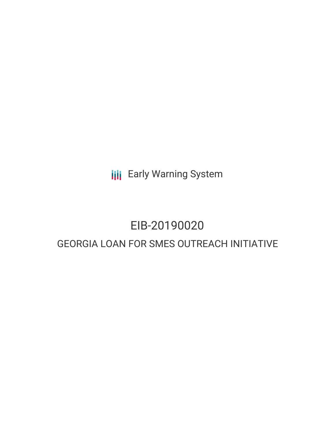**III** Early Warning System

# EIB-20190020

# GEORGIA LOAN FOR SMES OUTREACH INITIATIVE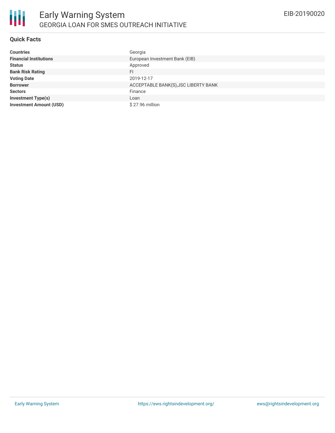# **Quick Facts**

| <b>Countries</b>               | Georgia                              |
|--------------------------------|--------------------------------------|
| <b>Financial Institutions</b>  | European Investment Bank (EIB)       |
| <b>Status</b>                  | Approved                             |
| <b>Bank Risk Rating</b>        | <b>FI</b>                            |
| <b>Voting Date</b>             | 2019-12-17                           |
| <b>Borrower</b>                | ACCEPTABLE BANK(S), JSC LIBERTY BANK |
| <b>Sectors</b>                 | Finance                              |
| <b>Investment Type(s)</b>      | Loan                                 |
| <b>Investment Amount (USD)</b> | \$27.96 million                      |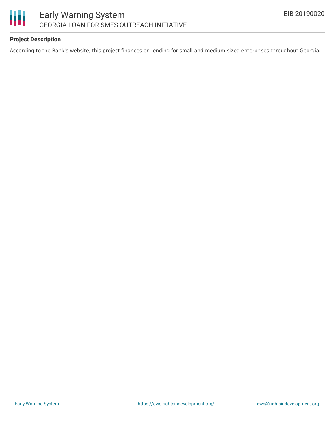

# **Project Description**

According to the Bank's website, this project finances on-lending for small and medium-sized enterprises throughout Georgia.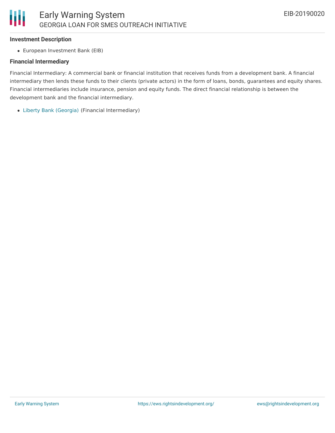#### **Investment Description**

European Investment Bank (EIB)

#### **Financial Intermediary**

Financial Intermediary: A commercial bank or financial institution that receives funds from a development bank. A financial intermediary then lends these funds to their clients (private actors) in the form of loans, bonds, guarantees and equity shares. Financial intermediaries include insurance, pension and equity funds. The direct financial relationship is between the development bank and the financial intermediary.

Liberty Bank [\(Georgia\)](file:///actor/2572/) (Financial Intermediary)